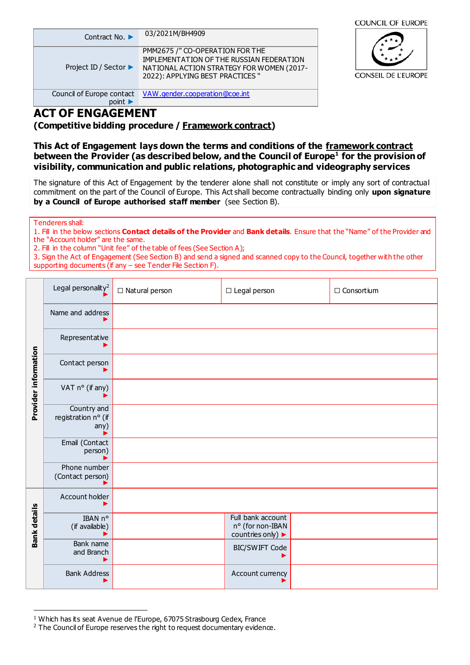| Contract No. ▶                     | 03/2021M/BH4909                                                                                                                                              |
|------------------------------------|--------------------------------------------------------------------------------------------------------------------------------------------------------------|
| Project ID / Sector ▶              | PMM2675 /" CO-OPERATION FOR THE<br>IMPLEMENTATION OF THE RUSSIAN FEDERATION<br>NATIONAL ACTION STRATEGY FOR WOMEN (2017-<br>2022): APPLYING BEST PRACTICES " |
| Council of Europe contact<br>point | VAW.gender.cooperation@coe.int                                                                                                                               |



# **ACT OF ENGAGEMENT**

**(Competitive bidding procedure / Framework contract)**

### **This Act of Engagement lays down the terms and conditions of the framework contract between the Provider (as described below, and the Council of Europe<sup>1</sup> for the provision of visibility, communication and public relations, photographic and videography services**

The signature of this Act of Engagement by the tenderer alone shall not constitute or imply any sort of contractual commitment on the part of the Council of Europe. This Act shall become contractually binding only **upon signature by a Council of Europe authorised staff member** (see Section B).

Tenderers shall:

 $\overline{a}$ 

1. Fill in the below sections **Contact details of the Provider** and **Bank details**. Ensure that the "Name" of the Provider and the "Account holder" are the same.

2. Fill in the column "Unit fee" of the table of fees (See Section A);

3. Sign the Act of Engagement (See Section B) and send a signed and scanned copy to the Council, together with the other supporting documents (if any – see Tender File Section F).

|                      | Legal personality <sup>2</sup>             | $\Box$ Natural person | $\Box$ Legal person                                        | $\Box$ Consortium |
|----------------------|--------------------------------------------|-----------------------|------------------------------------------------------------|-------------------|
|                      | Name and address                           |                       |                                                            |                   |
|                      | Representative                             |                       |                                                            |                   |
| Provider information | Contact person                             |                       |                                                            |                   |
|                      | VAT n° (if any)                            |                       |                                                            |                   |
|                      | Country and<br>registration n° (if<br>any) |                       |                                                            |                   |
|                      | Email (Contact<br>person)                  |                       |                                                            |                   |
|                      | Phone number<br>(Contact person)           |                       |                                                            |                   |
|                      | Account holder                             |                       |                                                            |                   |
| <b>Bank details</b>  | IBAN n°<br>(if available)<br>▶             |                       | Full bank account<br>nº (for non-IBAN<br>countries only) ▶ |                   |
|                      | Bank name<br>and Branch                    |                       | <b>BIC/SWIFT Code</b>                                      |                   |
|                      | <b>Bank Address</b>                        |                       | Account currency                                           |                   |

<sup>&</sup>lt;sup>1</sup> Which has its seat Avenue de l'Europe, 67075 Strasbourg Cedex, France

<sup>&</sup>lt;sup>2</sup> The Council of Europe reserves the right to request documentary evidence.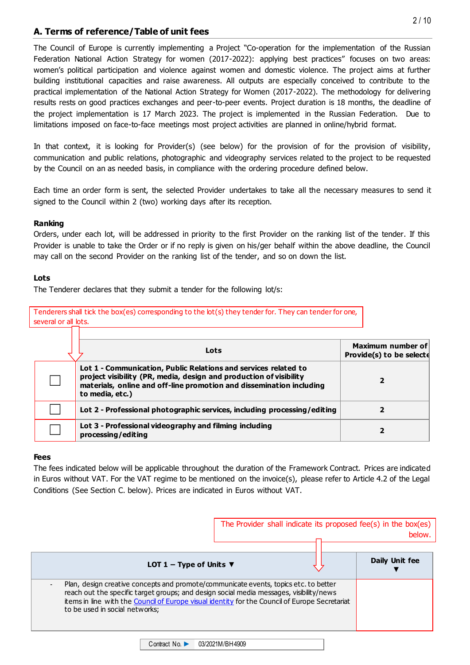### **A. Terms of reference/Table of unit fees**

The Council of Europe is currently implementing a Project "Co-operation for the implementation of the Russian Federation National Action Strategy for women (2017-2022): applying best practices" focuses on two areas: women's political participation and violence against women and domestic violence. The project aims at further building institutional capacities and raise awareness. All outputs are especially conceived to contribute to the practical implementation of the National Action Strategy for Women (2017-2022). The methodology for delivering results rests on good practices exchanges and peer-to-peer events. Project duration is 18 months, the deadline of the project implementation is 17 March 2023. The project is implemented in the Russian Federation. Due to limitations imposed on face-to-face meetings most project activities are planned in online/hybrid format.

In that context, it is looking for Provider(s) (see below) for the provision of for the provision of visibility, communication and public relations, photographic and videography services related to the project to be requested by the Council on an as needed basis, in compliance with the ordering procedure defined below.

Each time an order form is sent, the selected Provider undertakes to take all the necessary measures to send it signed to the Council within 2 (two) working days after its reception.

#### **Ranking**

Orders, under each lot, will be addressed in priority to the first Provider on the ranking list of the tender. If this Provider is unable to take the Order or if no reply is given on his/ger behalf within the above deadline, the Council may call on the second Provider on the ranking list of the tender, and so on down the list.

#### **Lots**

The Tenderer declares that they submit a tender for the following lot/s:

| Tenderers shall tick the box(es) corresponding to the lot(s) they tender for. They can tender for one, |  |
|--------------------------------------------------------------------------------------------------------|--|
| several or all lots.                                                                                   |  |

| Lots                                                                                                                                                                                                                             | <b>Maximum number of</b><br>Provide(s) to be selecte |
|----------------------------------------------------------------------------------------------------------------------------------------------------------------------------------------------------------------------------------|------------------------------------------------------|
| Lot 1 - Communication, Public Relations and services related to<br>project visibility (PR, media, design and production of visibility<br>materials, online and off-line promotion and dissemination including<br>to media, etc.) |                                                      |
| Lot 2 - Professional photographic services, including processing/editing                                                                                                                                                         |                                                      |
| Lot 3 - Professional videography and filming including<br>processing/editing                                                                                                                                                     |                                                      |

#### **Fees**

The fees indicated below will be applicable throughout the duration of the Framework Contract. Prices are indicated in Euros without VAT. For the VAT regime to be mentioned on the invoice(s), please refer to Article 4.2 of the Legal Conditions (See Section C. below). Prices are indicated in Euros without VAT.

|                                                                                                                                                                                                                                                                                                                     | The Provider shall indicate its proposed fee(s) in the box(es) | <b>below</b>   |
|---------------------------------------------------------------------------------------------------------------------------------------------------------------------------------------------------------------------------------------------------------------------------------------------------------------------|----------------------------------------------------------------|----------------|
| LOT 1 – Type of Units $\nabla$                                                                                                                                                                                                                                                                                      |                                                                | Daily Unit fee |
| Plan, design creative concepts and promote/communicate events, topics etc. to better<br>reach out the specific target groups; and design social media messages, visibility/news<br>items in line with the Council of Europe visual identity for the Council of Europe Secretariat<br>to be used in social networks; |                                                                |                |

Contract No. ► 03/2021M/BH4909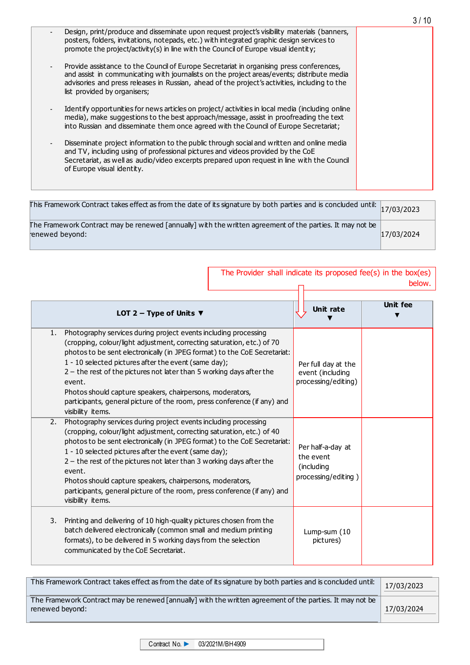|                                                                                                                                                                                                                                                                                                                         | 3 / 10 |
|-------------------------------------------------------------------------------------------------------------------------------------------------------------------------------------------------------------------------------------------------------------------------------------------------------------------------|--------|
| Design, print/produce and disseminate upon request project's visibility materials (banners,<br>posters, folders, invitations, notepads, etc.) with integrated graphic design services to<br>promote the project/activity(s) in line with the Council of Europe visual identity;                                         |        |
| Provide assistance to the Council of Europe Secretariat in organising press conferences,<br>and assist in communicating with journalists on the project areas/events; distribute media<br>advisories and press releases in Russian, ahead of the project's activities, including to the<br>list provided by organisers; |        |
| Identify opportunities for news articles on project/activities in local media (including online<br>media), make suggestions to the best approach/message, assist in proofreading the text<br>into Russian and disseminate them once agreed with the Council of Europe Secretariat;                                      |        |
| Disseminate project information to the public through social and written and online media<br>and TV, including using of professional pictures and videos provided by the CoE<br>Secretariat, as well as audio/video excerpts prepared upon request in line with the Council<br>of Europe visual identity.               |        |
|                                                                                                                                                                                                                                                                                                                         |        |

| This Framework Contract takes effect as from the date of its signature by both parties and is concluded until: $\vert_{17/03/2023}$ |            |
|-------------------------------------------------------------------------------------------------------------------------------------|------------|
| The Framework Contract may be renewed [annually] with the written agreement of the parties. It may not be<br>enewed beyond:         | 17/03/2024 |

| The Provider shall indicate its proposed fee(s) in the box(es)                                                                                                                                                                                                                                                                                                                                                                                                                                                                         |                                                                     | below.          |
|----------------------------------------------------------------------------------------------------------------------------------------------------------------------------------------------------------------------------------------------------------------------------------------------------------------------------------------------------------------------------------------------------------------------------------------------------------------------------------------------------------------------------------------|---------------------------------------------------------------------|-----------------|
| LOT 2 – Type of Units $\nabla$                                                                                                                                                                                                                                                                                                                                                                                                                                                                                                         | <b>Unit rate</b>                                                    | <b>Unit fee</b> |
| Photography services during project events including processing<br>1.<br>(cropping, colour/light adjustment, correcting saturation, etc.) of 70<br>photos to be sent electronically (in JPEG format) to the CoE Secretariat:<br>1 - 10 selected pictures after the event (same day);<br>$2$ – the rest of the pictures not later than 5 working days after the<br>event.<br>Photos should capture speakers, chairpersons, moderators,<br>participants, general picture of the room, press conference (if any) and<br>visibility items. | Per full day at the<br>event (including<br>processing/editing)      |                 |
| 2.<br>Photography services during project events including processing<br>(cropping, colour/light adjustment, correcting saturation, etc.) of 40<br>photos to be sent electronically (in JPEG format) to the CoE Secretariat:<br>1 - 10 selected pictures after the event (same day);<br>$2$ – the rest of the pictures not later than 3 working days after the<br>event.<br>Photos should capture speakers, chairpersons, moderators,<br>participants, general picture of the room, press conference (if any) and<br>visibility items. | Per half-a-day at<br>the event<br>(including<br>processing/editing) |                 |
| Printing and delivering of 10 high-quality pictures chosen from the<br>3.<br>batch delivered electronically (common small and medium printing<br>formats), to be delivered in 5 working days from the selection<br>communicated by the CoE Secretariat.                                                                                                                                                                                                                                                                                | Lump-sum (10<br>pictures)                                           |                 |

| This Framework Contract takes effect as from the date of its signature by both parties and is concluded until: |            |
|----------------------------------------------------------------------------------------------------------------|------------|
| The Framework Contract may be renewed [annually] with the written agreement of the parties. It may not be      |            |
| renewed beyond:                                                                                                | 17/03/2024 |

Contract No. ► 03/2021M/BH4909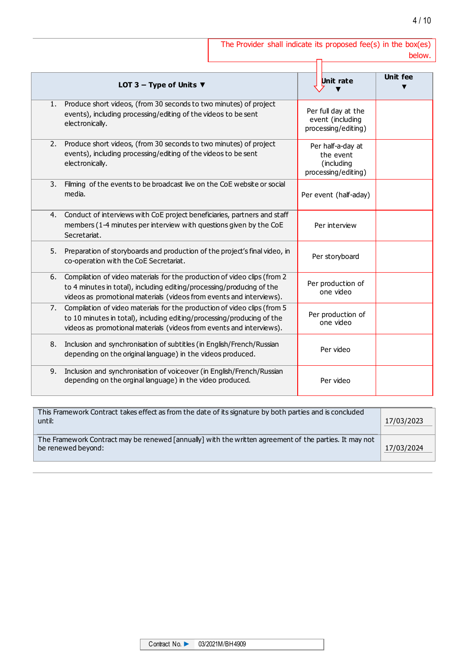| The Provider shall indicate its proposed fee(s) in the box(es) |  |  |  |        |
|----------------------------------------------------------------|--|--|--|--------|
|                                                                |  |  |  | below. |

|    | LOT 3 – Type of Units $\blacktriangledown$                                                                                                                                                                                 | Unit rate                                                           | <b>Unit fee</b> |
|----|----------------------------------------------------------------------------------------------------------------------------------------------------------------------------------------------------------------------------|---------------------------------------------------------------------|-----------------|
| 1. | Produce short videos, (from 30 seconds to two minutes) of project<br>events), including processing/editing of the videos to be sent<br>electronically.                                                                     | Per full day at the<br>event (including<br>processing/editing)      |                 |
| 2. | Produce short videos, (from 30 seconds to two minutes) of project<br>events), including processing/editing of the videos to be sent<br>electronically.                                                                     | Per half-a-day at<br>the event<br>(including<br>processing/editing) |                 |
| 3. | Filming of the events to be broadcast live on the CoE website or social<br>media.                                                                                                                                          | Per event (half-aday)                                               |                 |
| 4. | Conduct of interviews with CoE project beneficiaries, partners and staff<br>members (1-4 minutes per interview with questions given by the CoE<br>Secretariat.                                                             | Per interview                                                       |                 |
| 5. | Preparation of storyboards and production of the project's final video, in<br>co-operation with the CoE Secretariat.                                                                                                       | Per storyboard                                                      |                 |
| 6. | Compilation of video materials for the production of video clips (from 2<br>to 4 minutes in total), including editing/processing/producing of the<br>videos as promotional materials (videos from events and interviews).  | Per production of<br>one video                                      |                 |
| 7. | Compilation of video materials for the production of video clips (from 5<br>to 10 minutes in total), including editing/processing/producing of the<br>videos as promotional materials (videos from events and interviews). | Per production of<br>one video                                      |                 |
| 8. | Inclusion and synchronisation of subtitles (in English/French/Russian<br>depending on the original language) in the videos produced.                                                                                       | Per video                                                           |                 |
| 9. | Inclusion and synchronisation of voiceover (in English/French/Russian<br>depending on the orginal language) in the video produced.                                                                                         | Per video                                                           |                 |

| This Framework Contract takes effect as from the date of its signature by both parties and is concluded<br>until:            |            |
|------------------------------------------------------------------------------------------------------------------------------|------------|
| The Framework Contract may be renewed [annually] with the written agreement of the parties. It may not<br>be renewed beyond: | 17/03/2024 |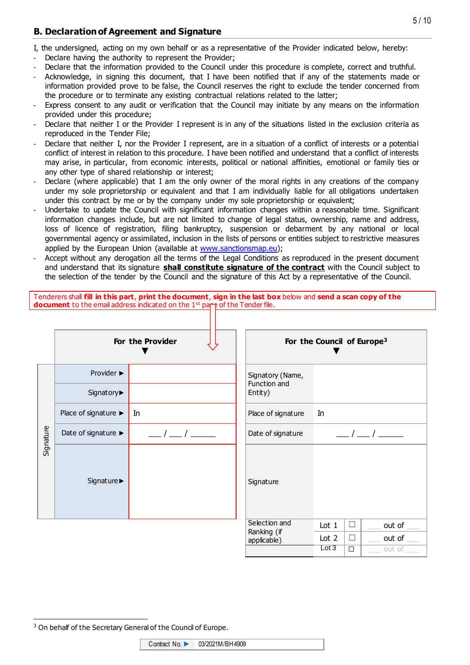### **B. Declaration of Agreement and Signature**

I, the undersigned, acting on my own behalf or as a representative of the Provider indicated below, hereby:

- Declare having the authority to represent the Provider;
- Declare that the information provided to the Council under this procedure is complete, correct and truthful.
- Acknowledge, in signing this document, that I have been notified that if any of the statements made or information provided prove to be false, the Council reserves the right to exclude the tender concerned from the procedure or to terminate any existing contractual relations related to the latter;
- Express consent to any audit or verification that the Council may initiate by any means on the information provided under this procedure;
- Declare that neither I or the Provider I represent is in any of the situations listed in the exclusion criteria as reproduced in the Tender File;
- Declare that neither I, nor the Provider I represent, are in a situation of a conflict of interests or a potential conflict of interest in relation to this procedure. I have been notified and understand that a conflict of interests may arise, in particular, from economic interests, political or national affinities, emotional or family ties or any other type of shared relationship or interest;
- Declare (where applicable) that I am the only owner of the moral rights in any creations of the company under my sole proprietorship or equivalent and that I am individually liable for all obligations undertaken under this contract by me or by the company under my sole proprietorship or equivalent;
- Undertake to update the Council with significant information changes within a reasonable time. Significant information changes include, but are not limited to change of legal status, ownership, name and address, loss of licence of registration, filing bankruptcy, suspension or debarment by any national or local governmental agency or assimilated, inclusion in the lists of persons or entities subject to restrictive measures applied by the European Union (available at [www.sanctionsmap.eu\)](http://www.sanctionsmap.eu/);
- Accept without any derogation all the terms of the Legal Conditions as reproduced in the present document and understand that its signature **shall constitute signature of the contract** with the Council subject to the selection of the tender by the Council and the signature of this Act by a representative of the Council.

Tenderers shall **fill in this part**, **print the document**, **sign in the last box** below and **send a scan copy of the document** to the email address indicated on the 1<sup>st</sup> page of the Tender file.

|           |                      | For the Provider                 |                                  | For the Council of Europe <sup>3</sup> |        |               |
|-----------|----------------------|----------------------------------|----------------------------------|----------------------------------------|--------|---------------|
|           | Provider ▶           |                                  | Signatory (Name,<br>Function and |                                        |        |               |
| Signature | Signatory▶           |                                  | Entity)                          |                                        |        |               |
|           | Place of signature ▶ | In                               | Place of signature               | In                                     |        |               |
|           | Date of signature ▶  | $\begin{array}{ccc} \end{array}$ | Date of signature                |                                        |        | $\frac{1}{2}$ |
|           | Signature >          |                                  | Signature                        |                                        |        |               |
|           |                      |                                  | Selection and<br>Ranking (if     | Lot $1$                                | $\Box$ | out of        |
|           |                      |                                  | applicable)                      | Lot $2$                                | П      | out of        |
|           |                      |                                  |                                  | Lot 3                                  | $\Box$ | out of        |

Contract No. ► 03/2021M/BH4909

 $\overline{a}$ <sup>3</sup> On behalf of the Secretary General of the Council of Europe.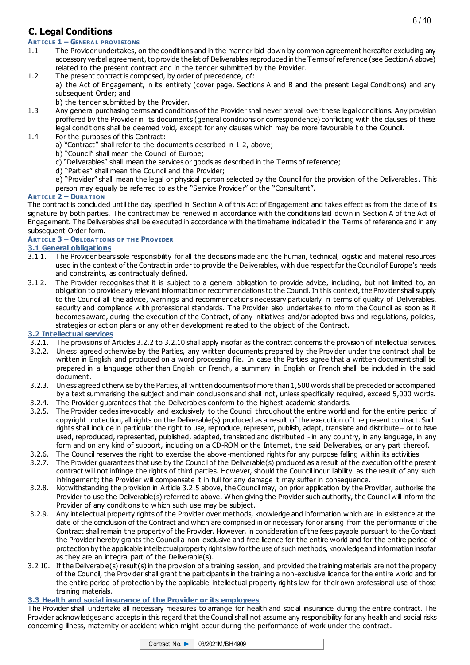### **C. Legal Conditions**

#### **ART ICLE 1 – GENERA L PROVISIONS**

- 1.1 The Provider undertakes, on the conditions and in the manner laid down by common agreement hereafter excluding any accessory verbal agreement, to provide the list of Deliverables reproduced in the Terms of reference (see Section A above) related to the present contract and in the tender submitted by the Provider.
- 1.2 The present contract is composed, by order of precedence, of: a) the Act of Engagement, in its entirety (cover page, Sections A and B and the present Legal Conditions) and any subsequent Order; and
	- b) the tender submitted by the Provider.
- 1.3 Any general purchasing terms and conditions of the Provider shall never prevail over these legal conditions. Any provision proffered by the Provider in its documents (general conditions or correspondence) conflicting with the clauses of these legal conditions shall be deemed void, except for any clauses which may be more favourable to the Council.
- 1.4 For the purposes of this Contract:
	- a) "Contract" shall refer to the documents described in 1.2, above;
	- b) "Council" shall mean the Council of Europe;
	- c) "Deliverables" shall mean the services or goods as described in the Terms of reference;
	- d) "Parties" shall mean the Council and the Provider;
	- e) "Provider" shall mean the legal or physical person selected by the Council for the provision of the Deliverables. This person may equally be referred to as the "Service Provider" or the "Consultant".

#### **ART ICLE 2 – DURA T ION**

The contract is concluded until the day specified in Section A of this Act of Engagement and takes effect as from the date of its signature by both parties. The contract may be renewed in accordance with the conditions laid down in Section A of the Act of Engagement. The Deliverables shall be executed in accordance with the timeframe indicated in the Terms of reference and in any subsequent Order form.

#### **ART ICLE 3 – OBLIGA T IONS OF T HE PROVIDER**

# **3.1 General obligations**<br>**3.1.1.** The Provider bears

- 3.1.1. The Provider bears sole responsibility for all the decisions made and the human, technical, logistic and material resources used in the context of the Contract in order to provide the Deliverables, with due respect for the Council of Europe's needs and constraints, as contractually defined.
- 3.1.2. The Provider recognises that it is subject to a general obligation to provide advice, including, but not limited to, an obligation to provide any relevant information or recommendations to the Council. In this context, the Provider shall supply to the Council all the advice, warnings and recommendations necessary particularly in terms of quality of Deliverables, security and compliance with professional standards. The Provider also undertakes to inform the Council as soon as it becomes aware, during the execution of the Contract, of any initiatives and/or adopted laws and regulations, policies, strategies or action plans or any other development related to the object of the Contract.

#### **3.2 Intellectual services**

- 3.2.1. The provisions of Articles 3.2.2 to 3.2.10 shall apply insofar as the contract concerns the provision of intellectual services.
- 3.2.2. Unless agreed otherwise by the Parties, any written documents prepared by the Provider under the contract shall be written in English and produced on a word processing file. In case the Parties agree that a written document shall be prepared in a language other than English or French, a summary in English or French shall be included in the said document.
- 3.2.3. Unless agreed otherwise by the Parties, all written documents of more than 1,500 words shall be preceded or accompanied by a text summarising the subject and main conclusions and shall not, unless specifically required, exceed 5,000 words.
- 3.2.4. The Provider guarantees that the Deliverables conform to the highest academic standards.
- 3.2.5. The Provider cedes irrevocably and exclusively to the Council throughout the entire world and for the entire period of copyright protection, all rights on the Deliverable(s) produced as a result of the execution of the present contract. Such rights shall include in particular the right to use, reproduce, represent, publish, adapt, translate and distribute – or to have used, reproduced, represented, published, adapted, translated and distributed - in any country, in any language, in any form and on any kind of support, including on a CD-ROM or the Internet, the said Deliverables, or any part thereof.
- 3.2.6. The Council reserves the right to exercise the above -mentioned rights for any purpose falling within its activities.
- 3.2.7. The Provider guarantees that use by the Council of the Deliverable(s) produced as a result of the execution of the present contract will not infringe the rights of third parties. However, should the Council incur liability as the result of any such infringement; the Provider will compensate it in full for any damage it may suffer in consequence.
- 3.2.8. Notwithstanding the provision in Article 3.2.5 above, the Council may, on prior application by the Provider, authorise the Provider to use the Deliverable(s) referred to above. When giving the Provider such authority, the Council will inform the Provider of any conditions to which such use may be subject.
- 3.2.9. Any intellectual property rights of the Provider over methods, knowledge and information which are in existence at the date of the conclusion of the Contract and which are comprised in or necessary for or arising from the performance of the Contract shall remain the property of the Provider. However, in consideration of the fees payable pursuant to the Contract the Provider hereby grants the Council a non-exclusive and free licence for the entire world and for the entire period of protection by the applicable intellectual property rights law for the use of such methods, knowledge and information insofar as they are an integral part of the Deliverable(s).
- 3.2.10. If the Deliverable(s) result(s) in the provision of a training session, and provided the training materials are not the property of the Council, the Provider shall grant the participants in the training a non-exclusive licence for the entire world and for the entire period of protection by the applicable intellectual property rights law for their own professional use of those training materials.

#### **3.3 Health and social insurance of the Provider or its employees**

The Provider shall undertake all necessary measures to arrange for health and social insurance during the entire contract. The Provider acknowledges and accepts in this regard that the Council shall not assume any responsibility for any health and social risks concerning illness, maternity or accident which might occur during the performance of work under the contract.

| Contract No. $\blacktriangleright$ | 03/2021M/BH4909 |
|------------------------------------|-----------------|
|                                    |                 |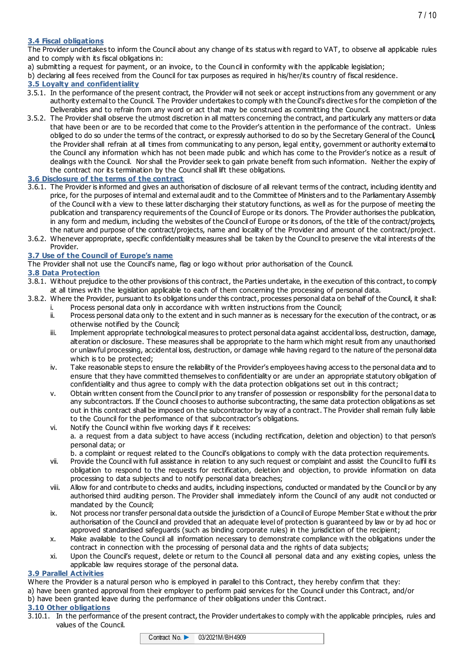#### **3.4 Fiscal obligations**

The Provider undertakes to inform the Council about any change of its status with regard to VAT, to observe all applicable rules and to comply with its fiscal obligations in:

a) submitting a request for payment, or an invoice, to the Council in conformity with the applicable legislation;

b) declaring all fees received from the Council for tax purposes as required in his/her/its country of fiscal residence.

#### **3.5 Loyalty and confidentiality**

- 3.5.1. In the performance of the present contract, the Provider will not seek or accept instructions from any government or any authority external to the Council. The Provider undertakes to comply with the Council's directive s for the completion of the Deliverables and to refrain from any word or act that may be construed as committing the Council.
- 3.5.2. The Provider shall observe the utmost discretion in all matters concerning the contract, and particularly any matters or data that have been or are to be recorded that come to the Provider's attention in the performance of the contract. Unless obliged to do so under the terms of the contract, or expressly authorised to do so by the Secretary General of the Council, the Provider shall refrain at all times from communicating to any person, legal entity, government or authority external to the Council any information which has not been made public and which has come to the Provider's notice as a result of dealings with the Council. Nor shall the Provider seek to gain private benefit from such information. Neither the expiry of the contract nor its termination by the Council shall lift these obligations.

#### **3.6 Disclosure of the terms of the contract**

- 3.6.1. The Provider is informed and gives an authorisation of disclosure of all relevant terms of the contract, including identity and price, for the purposes of internal and external audit and to the Committee of Ministers and to the Parliamentary Assembly of the Council with a view to these latter discharging their statutory functions, as well as for the purpose of meeting the publication and transparency requirements of the Council of Europe or its donors. The Provider authorises the publication, in any form and medium, including the websites of the Council of Europe or its donors, of the title of the contract/projects, the nature and purpose of the contract/projects, name and locality of the Provider and amount of the contract/project.
- 3.6.2. Whenever appropriate, specific confidentiality measures shall be taken by the Council to preserve the vital interests of the Provider.

#### **3.7 Use of the Council of Europe's name**

The Provider shall not use the Council's name, flag or logo without prior authorisation of the Council.

#### **3.8 Data Protection**

- 3.8.1. Without prejudice to the other provisions of this contract, the Parties undertake, in the execution of this contract, to comply at all times with the legislation applicable to each of them concerning the processing of personal data.
- 3.8.2. Where the Provider, pursuant to its obligations under this contract, processes personal data on behalf of the Council, it shall: i. Process personal data only in accordance with written instructions from the Council;<br>ii. Process personal data only to the extent and in such manner as is necessary for the ex-
	- Process personal data only to the extent and in such manner as is necessary for the execution of the contract, or as otherwise notified by the Council;
	- iii. Implement appropriate technological measures to protect personal data against accidental loss, destruction, damage, alteration or disclosure. These measures shall be appropriate to the harm which might result from any unauthorised or unlawful processing, accidental loss, destruction, or damage while having regard to the nature of the personal data which is to be protected;
	- iv. Take reasonable steps to ensure the reliability of the Provider's employees having access to the personal data and to ensure that they have committed themselves to confidentiality or are under an appropriate statutory obligation of confidentiality and thus agree to comply with the data protection obligations set out in this contract;
	- v. Obtain written consent from the Council prior to any transfer of possession or responsibility for the personal data to any subcontractors. If the Council chooses to authorise subcontracting, the same data protection obligations as set out in this contract shall be imposed on the subcontractor by way of a contract. The Provider shall remain fully liable to the Council for the performance of that subcontractor's obligations.
	- vi. Notify the Council within five working days if it receives: a. a request from a data subject to have access (including rectification, deletion and objection) to that person's personal data; or
		- b. a complaint or request related to the Council's obligations to comply with the data protection requirements.
	- vii. Provide the Council with full assistance in relation to any such request or complaint and assist the Council to fulfil its obligation to respond to the requests for rectification, deletion and objection, to provide information on data processing to data subjects and to notify personal data breaches;
	- viii. Allow for and contribute to checks and audits, including inspections, conducted or mandated by the Council or by any authorised third auditing person. The Provider shall immediately inform the Council of any audit not conducted or mandated by the Council;
	- ix. Not process nor transfer personal data outside the jurisdiction of a Council of Europe Member Stat e without the prior authorisation of the Council and provided that an adequate level of protection is guaranteed by law or by ad hoc or approved standardised safeguards (such as binding corporate rules) in the jurisdiction of the recipient;
	- x. Make available to the Council all information necessary to demonstrate compliance with the obligations under the contract in connection with the processing of personal data and the rights of data subjects;
	- xi. Upon the Council's request, delete or return to the Council all personal data and any existing copies, unless the applicable law requires storage of the personal data.

#### **3.9 Parallel Activities**

Where the Provider is a natural person who is employed in parallel to this Contract, they hereby confirm that they:

- a) have been granted approval from their employer to perform paid services for the Council under this Contract, and/or
- b) have been granted leave during the performance of their obligations under this Contract.

#### **3.10 Other obligations**

3.10.1. In the performance of the present contract, the Provider undertakes to comply with the applicable principles, rules and values of the Council.



7 / 10

| Contract No. $\blacktriangleright$ | 03/2021M/BH4909 |  |
|------------------------------------|-----------------|--|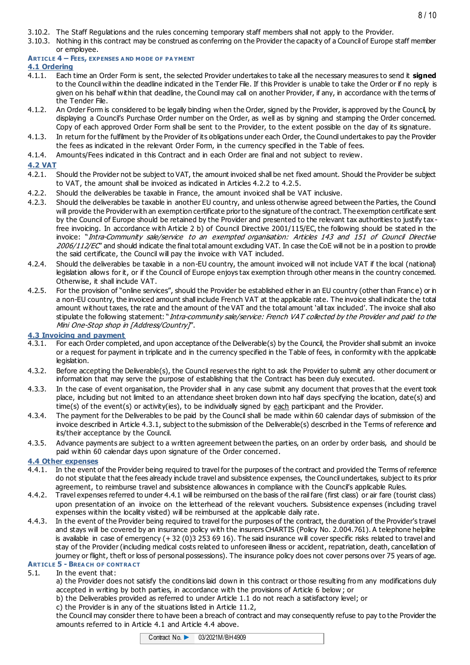3.10.3. Nothing in this contract may be construed as conferring on the Provider the capacity of a Council of Europe staff member or employee.

#### **ART ICLE 4 – FEES, EXPENSES A ND MODE OF PA YMENT**

#### **4.1 Ordering**

- 4.1.1. Each time an Order Form is sent, the selected Provider undertakes to take all the necessary measures to send it **signed** to the Council within the deadline indicated in the Tender File. If this Provider is unable to take the Order or if no reply is given on his behalf within that deadline, the Council may call on another Provider, if any, in accordance with the terms of the Tender File.
- 4.1.2. An Order Form is considered to be legally binding when the Order, signed by the Provider, is approved by the Council, by displaying a Council's Purchase Order number on the Order, as well as by signing and stamping the Order concerned. Copy of each approved Order Form shall be sent to the Provider, to the extent possible on the day of its signature.
- 4.1.3. In return for the fulfilment by the Provider of its obligations under each Order, the Council undertakes to pay the Provider the fees as indicated in the relevant Order Form, in the currency specified in the Table of fees.
- 4.1.4. Amounts/Fees indicated in this Contract and in each Order are final and not subject to review.

#### **4.2 VAT**

- 4.2.1. Should the Provider not be subject to VAT, the amount invoiced shall be net fixed amount. Should the Provider be subject to VAT, the amount shall be invoiced as indicated in Articles 4.2.2 to 4.2.5.
- 4.2.2. Should the deliverables be taxable in France, the amount invoiced shall be VAT inclusive.
- 4.2.3. Should the deliverables be taxable in another EU country, and unless otherwise agreed between the Parties, the Council will provide the Provider with an exemption certificate prior to the signature of the contract. The exemption certificate sent by the Council of Europe should be retained by the Provider and presented to the relevant tax authorities to justify tax free invoicing. In accordance with Article 2 b) of Council Directive 2001/115/EC, the following should be stated in the invoice: "Intra-Community sale/service to an exempted organisation: Articles 143 and 151 of Council Directive 2006/112/EC" and should indicate the final total amount excluding VAT. In case the CoE will not be in a position to provide the said certificate, the Council will pay the invoice with VAT included.
- 4.2.4. Should the deliverables be taxable in a non-EU country, the amount invoiced will not include VAT if the local (national) legislation allows for it, or if the Council of Europe enjoys tax exemption through other means in the country concerned. Otherwise, it shall include VAT.
- 4.2.5. For the provision of "online services", should the Provider be established either in an EU country (other than Franc e) or in a non-EU country, the invoiced amount shall include French VAT at the applicable rate. The invoice shall indicate the total amount without taxes, the rate and the amount of the VAT and the total amount 'all tax included'. The invoice shall also stipulate the following statement: "Intra-community sale/service: French VAT collected by the Provider and paid to the Mini One-Stop shop in [Address/Country]".

# **4.3 Invoicing and payment**<br>**4.3.1.** For each Order comple

- 4.3.1. For each Order completed, and upon acceptance of the Deliverable(s) by the Council, the Provider shall submit an invoice or a request for payment in triplicate and in the currency specified in the Table of fees, in conformity with the applicable legislation.
- 4.3.2. Before accepting the Deliverable(s), the Council reserves the right to ask the Provider to submit any other document or information that may serve the purpose of establishing that the Contract has been duly executed.
- 4.3.3. In the case of event organisation, the Provider shall in any case submit any document that proves th at the event took place, including but not limited to an attendance sheet broken down into half days specifying the location, date(s) and time(s) of the event(s) or activity(ies), to be individually signed by each participant and the Provider.
- 4.3.4. The payment for the Deliverables to be paid by the Council shall be made within 60 calendar days of submission of the invoice described in Article 4.3.1, subject to the submission of the Deliverable(s) described in the Terms of reference and its/their acceptance by the Council.
- 4.3.5. Advance payments are subject to a written agreement between the parties, on an order by order basis, and should be paid within 60 calendar days upon signature of the Order concerned.

#### **4.4 Other expenses**

- 4.4.1. In the event of the Provider being required to travel for the purposes of the contract and provided the Terms of reference do not stipulate that the fees already include travel and subsistence expenses, the Council undertakes, subject to its prior agreement, to reimburse travel and subsistence allowances in compliance with the Council's applicable Rules.
- 4.4.2. Travel expenses referred to under 4.4.1 will be reimbursed on the basis of the rail fare (first class) or air fare (tourist class) upon presentation of an invoice on the letterhead of the relevant vouchers. Subsistence expenses (including travel expenses within the locality visited) will be reimbursed at the applicable daily rate.
- 4.4.3. In the event of the Provider being required to travel for the purposes of the contract, the duration of the Provider's travel and stays will be covered by an insurance policy with the insurers CHARTIS (Policy No. 2.004.761). A telephone helpline is available in case of emergency (+ 32 (0)3 253 69 16). The said insurance will cover specific risks related to travel and stay of the Provider (including medical costs related to unforeseen illness or accident, repatriation, death, cancellation of journey or flight, theft or loss of personal possessions). The insurance policy does not cover persons over 75 years of age. **ART ICLE 5 - BREA CH OF CONT RA CT**

## 5.1. In the event that:

a) the Provider does not satisfy the conditions laid down in this contract or those resulting from any modifications duly accepted in writing by both parties, in accordance with the provisions of Article 6 below ; or

- b) the Deliverables provided as referred to under Article 1.1 do not reach a satisfactory level; or
- c) the Provider is in any of the situations listed in Article 11.2,

the Council may consider there to have been a breach of contract and may consequently refuse to pay to the Provider the amounts referred to in Article 4.1 and Article 4.4 above.



8 / 10

| Contract No. $\blacktriangleright$ | 03/2021M/BH4909 |  |
|------------------------------------|-----------------|--|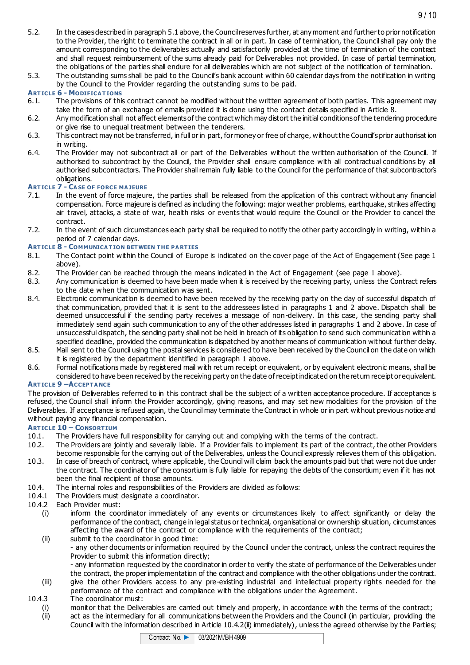- 5.2. In the cases described in paragraph 5.1 above, the Council reserves further, at any moment and further to prior notification to the Provider, the right to terminate the contract in all or in part. In case of termination, the Council shall pay only the amount corresponding to the deliverables actually and satisfactorily provided at the time of termination of the contract and shall request reimbursement of the sums already paid for Deliverables not provided. In case of partial termination, the obligations of the parties shall endure for all deliverables which are not subject of the notification of termination.
- 5.3. The outstanding sums shall be paid to the Council's bank account within 60 calendar days from the notification in writing by the Council to the Provider regarding the outstanding sums to be paid.

#### **ART ICLE 6 - MODIFICA T IONS**

- 6.1. The provisions of this contract cannot be modified without the written agreement of both parties. This agreement may take the form of an exchange of emails provided it is done using the contact details specified in Article 8.
- 6.2. Any modification shall not affect elements of the contract which may distort the initial conditions of the tendering procedure or give rise to unequal treatment between the tenderers.
- 6.3. This contract may not be transferred, in full or in part, for money or free of charge, without the Council's prior authorisat ion in writing.
- 6.4. The Provider may not subcontract all or part of the Deliverables without the written authorisation of the Council. If authorised to subcontract by the Council, the Provider shall ensure compliance with all contractual conditions by all authorised subcontractors. The Provider shall remain fully liable to the Council for the performance of that subcontractor's obligations.

- **ART ICLE 7 - CA SE OF FORCE MA JEURE** In the event of force majeure, the parties shall be released from the application of this contract without any financial compensation. Force majeure is defined as including the following: major weather problems, earthquake, strikes affecting air travel, attacks, a state of war, health risks or events that would require the Council or the Provider to cancel the contract.
- 7.2. In the event of such circumstances each party shall be required to notify the other party accordingly in writing, within a period of 7 calendar days.

# **ART ICLE 8 - COMMUNICA T ION BET WEEN T HE PA RT IES**

- The Contact point within the Council of Europe is indicated on the cover page of the Act of Engagement (See page 1 above).
- 8.2. The Provider can be reached through the means indicated in the Act of Engagement (see page 1 above).<br>8.3. Any communication is deemed to have been made when it is received by the receiving party, unless the Cont
- Any communication is deemed to have been made when it is received by the receiving party, unless the Contract refers to the date when the communication was sent.
- 8.4. Electronic communication is deemed to have been received by the receiving party on the day of successful dispatch of that communication, provided that it is sent to the addressees listed in paragraphs 1 and 2 above. Dispatch shall be deemed unsuccessful if the sending party receives a message of non-delivery. In this case, the sending party shall immediately send again such communication to any of the other addresses listed in paragraphs 1 and 2 above. In case of unsuccessful dispatch, the sending party shall not be held in breach of its obligation to send such communication within a specified deadline, provided the communication is dispatched by another means of communication without further delay.
- 8.5. Mail sent to the Council using the postal services is considered to have been received by the Council on the date on which it is registered by the department identified in paragraph 1 above.
- 8.6. Formal notifications made by registered mail with return receipt or equivalent, or by equivalent electronic means, shall be considered to have been received by the receiving party on the date of receipt indicated on the return receipt or equivalent.

#### **ART ICLE 9 –ACCEPT A NCE**

The provision of Deliverables referred to in this contract shall be the subject of a written acceptance procedure. If acceptance is refused, the Council shall inform the Provider accordingly, giving reasons, and may set new modalities for the provision of t he Deliverables. If acceptance is refused again, the Council may terminate the Contract in whole or in part without previous notice and without paying any financial compensation.

#### **ART ICLE 10 – CONSORT IUM**

- 10.1. The Providers have full responsibility for carrying out and complying with the terms of t he contract.
- 10.2. The Providers are jointly and severally liable. If a Provider fails to implement its part of the contract, the other Providers become responsible for the carrying out of the Deliverables, unless the Council expressly relieves them of this obligation.
- 10.3. In case of breach of contract, where applicable, the Council will claim back the amounts paid but that were not due under the contract. The coordinator of the consortium is fully liable for repaying the debts of the consortium; even if it has not been the final recipient of those amounts.
- 10.4. The internal roles and responsibilities of the Providers are divided as follows:
- 10.4.1 The Providers must designate a coordinator.
- 10.4.2 Each Provider must:
	- (i) inform the coordinator immediately of any events or circumstances likely to affect significantly or delay the performance of the contract, change in legal status or technical, organisational or ownership situation, circumstances affecting the award of the contract or compliance with the requirements of the contract;
	- (ii) submit to the coordinator in good time: - any other documents or information required by the Council under the contract, unless the contract requires the Provider to submit this information directly;
		- any information requested by the coordinator in order to verify the state of performance of the Deliverables under the contract, the proper implementation of the contract and compliance with the other obligations under the contract.
	- (iii) give the other Providers access to any pre-existing industrial and intellectual property rights needed for the performance of the contract and compliance with the obligations under the Agreement.
- 10.4.3 The coordinator must:
	- (i) monitor that the Deliverables are carried out timely and properly, in accordance with the terms of the contract;
	- (ii) act as the intermediary for all communications between the Providers and the Council (in particular, providing the Council with the information described in Article 10.4.2(ii) immediately), unless the agreed otherwise by the Parties;

| Contract No. | 03/2021M/BH4909 |
|--------------|-----------------|